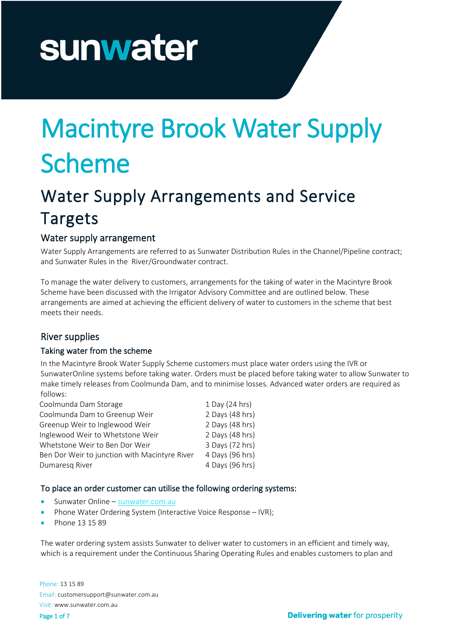# sunwater

# Macintyre Brook Water Supply Scheme

# Water Supply Arrangements and Service Targets<br>Water supply arrangement

Water Supply Arrangements are referred to as Sunwater Distribution Rules in the Channel/Pipeline contract; and Sunwater Rules in the River/Groundwater contract.

To manage the water delivery to customers, arrangements for the taking of water in the Macintyre Brook Scheme have been discussed with the Irrigator Advisory Committee and are outlined below. These arrangements are aimed at achieving the efficient delivery of water to customers in the scheme that best meets their needs.

# River supplies

# Taking water from the scheme

In the Macintyre Brook Water Supply Scheme customers must place water orders using the IVR or SunwaterOnline systems before taking water. Orders must be placed before taking water to allow Sunwater to make timely releases from Coolmunda Dam, and to minimise losses. Advanced water orders are required as follows:

| Coolmunda Dam Storage                         | 1 Day (24 hrs)  |
|-----------------------------------------------|-----------------|
| Coolmunda Dam to Greenup Weir                 | 2 Days (48 hrs) |
| Greenup Weir to Inglewood Weir                | 2 Days (48 hrs) |
| Inglewood Weir to Whetstone Weir              | 2 Days (48 hrs) |
| Whetstone Weir to Ben Dor Weir                | 3 Days (72 hrs) |
| Ben Dor Weir to junction with Macintyre River | 4 Days (96 hrs) |
| Dumaresg River                                | 4 Days (96 hrs) |
|                                               |                 |

#### To place an order customer can utilise the following ordering systems:

- Sunwater Online [sunwater.com.au](http://www.sunwater.com.au/)
- Phone Water Ordering System (Interactive Voice Response IVR);
- Phone 13 15 89

The water ordering system assists Sunwater to deliver water to customers in an efficient and timely way, which is a requirement under the Continuous Sharing Operating Rules and enables customers to plan and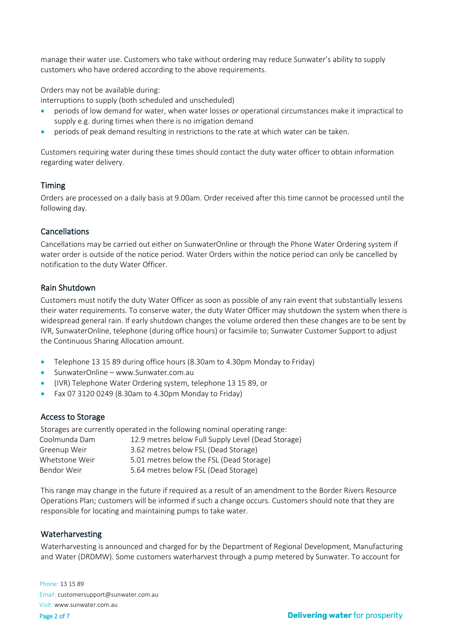manage their water use. Customers who take without ordering may reduce Sunwater's ability to supply customers who have ordered according to the above requirements.

Orders may not be available during:

interruptions to supply (both scheduled and unscheduled)

- periods of low demand for water, when water losses or operational circumstances make it impractical to supply e.g. during times when there is no irrigation demand
- periods of peak demand resulting in restrictions to the rate at which water can be taken.

Customers requiring water during these times should contact the duty water officer to obtain information regarding water delivery.

### Timing

Orders are processed on a daily basis at 9.00am. Order received after this time cannot be processed until the following day.

### Cancellations

Cancellations may be carried out either on SunwaterOnline or through the Phone Water Ordering system if water order is outside of the notice period. Water Orders within the notice period can only be cancelled by notification to the duty Water Officer.

#### Rain Shutdown

Customers must notify the duty Water Officer as soon as possible of any rain event that substantially lessens their water requirements. To conserve water, the duty Water Officer may shutdown the system when there is widespread general rain. If early shutdown changes the volume ordered then these changes are to be sent by IVR, SunwaterOnline, telephone (during office hours) or facsimile to; Sunwater Customer Support to adjust the Continuous Sharing Allocation amount.

- Telephone 13 15 89 during office hours (8.30am to 4.30pm Monday to Friday)
- SunwaterOnline www.Sunwater.com.au
- (IVR) Telephone Water Ordering system, telephone 13 15 89, or
- Fax 07 3120 0249 (8.30am to 4.30pm Monday to Friday)

#### Access to Storage

Storages are currently operated in the following nominal operating range:

| Coolmunda Dam  | 12.9 metres below Full Supply Level (Dead Storage) |
|----------------|----------------------------------------------------|
| Greenup Weir   | 3.62 metres below FSL (Dead Storage)               |
| Whetstone Weir | 5.01 metres below the FSL (Dead Storage)           |
| Bendor Weir    | 5.64 metres below FSL (Dead Storage)               |

This range may change in the future if required as a result of an amendment to the Border Rivers Resource Operations Plan; customers will be informed if such a change occurs. Customers should note that they are responsible for locating and maintaining pumps to take water.

## Waterharvesting

Waterharvesting is announced and charged for by the Department of Regional Development, Manufacturing and Water (DRDMW). Some customers waterharvest through a pump metered by Sunwater. To account for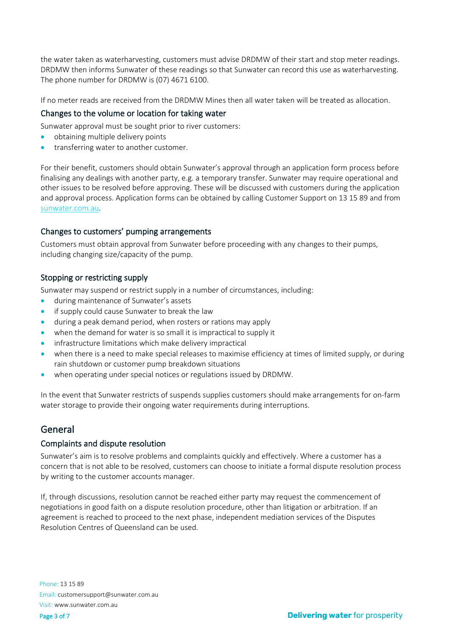the water taken as waterharvesting, customers must advise DRDMW of their start and stop meter readings. DRDMW then informs Sunwater of these readings so that Sunwater can record this use as waterharvesting. The phone number for DRDMW is (07) 4671 6100.

If no meter reads are received from the DRDMW Mines then all water taken will be treated as allocation.

#### Changes to the volume or location for taking water

Sunwater approval must be sought prior to river customers:

- obtaining multiple delivery points
- transferring water to another customer.

For their benefit, customers should obtain Sunwater's approval through an application form process before finalising any dealings with another party, e.g. a temporary transfer. Sunwater may require operational and other issues to be resolved before approving. These will be discussed with customers during the application and approval process. Application forms can be obtained by calling Customer Support on 13 15 89 and from [sunwater.com.au.](http://www.sunwater.com.au/)

#### Changes to customers' pumping arrangements

Customers must obtain approval from Sunwater before proceeding with any changes to their pumps, including changing size/capacity of the pump.

### Stopping or restricting supply

Sunwater may suspend or restrict supply in a number of circumstances, including:

- during maintenance of Sunwater's assets
- if supply could cause Sunwater to break the law
- during a peak demand period, when rosters or rations may apply
- when the demand for water is so small it is impractical to supply it
- infrastructure limitations which make delivery impractical
- when there is a need to make special releases to maximise efficiency at times of limited supply, or during rain shutdown or customer pump breakdown situations
- when operating under special notices or regulations issued by DRDMW.

In the event that Sunwater restricts of suspends supplies customers should make arrangements for on-farm water storage to provide their ongoing water requirements during interruptions.

# General

#### Complaints and dispute resolution

Sunwater's aim is to resolve problems and complaints quickly and effectively. Where a customer has a concern that is not able to be resolved, customers can choose to initiate a formal dispute resolution process by writing to the customer accounts manager.

If, through discussions, resolution cannot be reached either party may request the commencement of negotiations in good faith on a dispute resolution procedure, other than litigation or arbitration. If an agreement is reached to proceed to the next phase, independent mediation services of the Disputes Resolution Centres of Queensland can be used.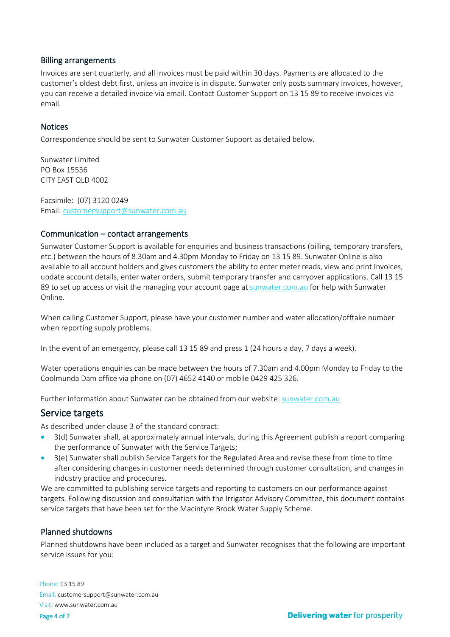#### Billing arrangements

Invoices are sent quarterly, and all invoices must be paid within 30 days. Payments are allocated to the customer's oldest debt first, unless an invoice is in dispute. Sunwater only posts summary invoices, however, you can receive a detailed invoice via email. Contact Customer Support on 13 15 89 to receive invoices via email.

#### **Notices**

Correspondence should be sent to Sunwater Customer Support as detailed below.

Sunwater Limited PO Box 15536 CITY EAST QLD 4002

Facsimile: (07) 3120 0249 Email: [customersupport@sunwater.com.au](mailto:customersupport@sunwater.com.au)

#### Communication – contact arrangements

Sunwater Customer Support is available for enquiries and business transactions (billing, temporary transfers, etc.) between the hours of 8.30am and 4.30pm Monday to Friday on 13 15 89. Sunwater Online is also available to all account holders and gives customers the ability to enter meter reads, view and print Invoices, update account details, enter water orders, submit temporary transfer and carryover applications. Call 13 15 89 to set up access or visit the managing your account page a[t sunwater.com.au](http://www.sunwater.com.au/) for help with Sunwater Online.

When calling Customer Support, please have your customer number and water allocation/offtake number when reporting supply problems.

In the event of an emergency, please call 13 15 89 and press 1 (24 hours a day, 7 days a week).

Water operations enquiries can be made between the hours of 7.30am and 4.00pm Monday to Friday to the Coolmunda Dam office via phone on (07) 4652 4140 or mobile 0429 425 326.

Further information about Sunwater can be obtained from our website[: sunwater.com.au](http://www.sunwater.com.au/)

### Service targets

As described under clause 3 of the standard contract:

- 3(d) Sunwater shall, at approximately annual intervals, during this Agreement publish a report comparing the performance of Sunwater with the Service Targets;
- 3(e) Sunwater shall publish Service Targets for the Regulated Area and revise these from time to time after considering changes in customer needs determined through customer consultation, and changes in industry practice and procedures.

We are committed to publishing service targets and reporting to customers on our performance against targets. Following discussion and consultation with the Irrigator Advisory Committee, this document contains service targets that have been set for the Macintyre Brook Water Supply Scheme.

#### Planned shutdowns

Planned shutdowns have been included as a target and Sunwater recognises that the following are important service issues for you: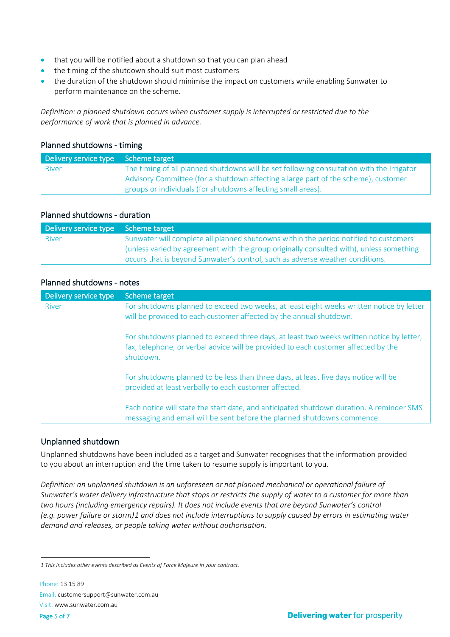- that you will be notified about a shutdown so that you can plan ahead
- the timing of the shutdown should suit most customers
- the duration of the shutdown should minimise the impact on customers while enabling Sunwater to perform maintenance on the scheme.

*Definition: a planned shutdown occurs when customer supply is interrupted or restricted due to the performance of work that is planned in advance.*

# Planned shutdowns - timing

| Delivery service type Scheme target |                                                                                                                                                    |
|-------------------------------------|----------------------------------------------------------------------------------------------------------------------------------------------------|
| <b>River</b>                        | The timing of all planned shutdowns will be set following consultation with the Irrigator                                                          |
|                                     | Advisory Committee (for a shutdown affecting a large part of the scheme), customer<br>groups or individuals (for shutdowns affecting small areas). |
|                                     |                                                                                                                                                    |

### Planned shutdowns - duration

| Delivery service type Scheme target |                                                                                                                                                                            |
|-------------------------------------|----------------------------------------------------------------------------------------------------------------------------------------------------------------------------|
| <b>River</b>                        | Sunwater will complete all planned shutdowns within the period notified to customers                                                                                       |
|                                     | I (unless varied by agreement with the group originally consulted with), unless something<br>occurs that is beyond Sunwater's control, such as adverse weather conditions. |

## Planned shutdowns - notes

| Delivery service type | Scheme target                                                                                                                                                                               |
|-----------------------|---------------------------------------------------------------------------------------------------------------------------------------------------------------------------------------------|
| <b>River</b>          | For shutdowns planned to exceed two weeks, at least eight weeks written notice by letter<br>will be provided to each customer affected by the annual shutdown.                              |
|                       | For shutdowns planned to exceed three days, at least two weeks written notice by letter,<br>fax, telephone, or verbal advice will be provided to each customer affected by the<br>shutdown. |
|                       | For shutdowns planned to be less than three days, at least five days notice will be<br>provided at least verbally to each customer affected.                                                |
|                       | Each notice will state the start date, and anticipated shutdown duration. A reminder SMS<br>messaging and email will be sent before the planned shutdowns commence.                         |

## Unplanned shutdown

Unplanned shutdowns have been included as a target and Sunwater recognises that the information provided to you about an interruption and the time taken to resume supply is important to you.

*Definition: an unplanned shutdown is an unforeseen or not planned mechanical or operational failure of Sunwater's water delivery infrastructure that stops or restricts the supply of water to a customer for more than two hours (including emergency repairs). It does not include events that are beyond Sunwater's control (e.g. power failure or storm)[1](#page-4-0) and does not include interruptions to supply caused by errors in estimating water demand and releases, or people taking water without authorisation.* 

<span id="page-4-0"></span>*<sup>1</sup> This includes other events described as Events of Force Majeure in your contract.*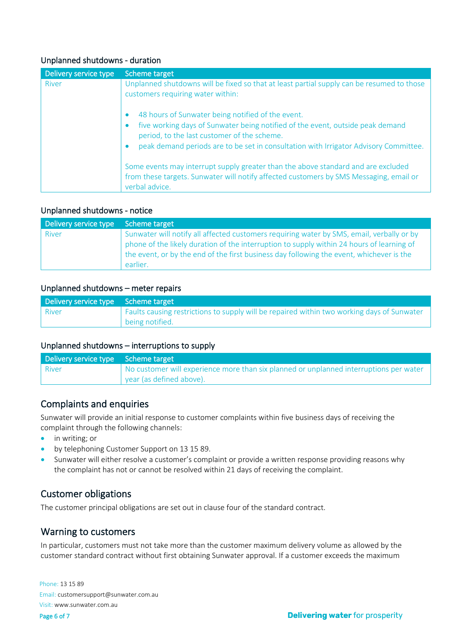# Unplanned shutdowns - duration

| Delivery service type | Scheme target                                                                                                                                                                                                                                                              |
|-----------------------|----------------------------------------------------------------------------------------------------------------------------------------------------------------------------------------------------------------------------------------------------------------------------|
| <b>River</b>          | Unplanned shutdowns will be fixed so that at least partial supply can be resumed to those<br>customers requiring water within:                                                                                                                                             |
|                       | 48 hours of Sunwater being notified of the event.<br>five working days of Sunwater being notified of the event, outside peak demand<br>period, to the last customer of the scheme.<br>peak demand periods are to be set in consultation with Irrigator Advisory Committee. |
|                       | Some events may interrupt supply greater than the above standard and are excluded<br>from these targets. Sunwater will notify affected customers by SMS Messaging, email or<br>verbal advice.                                                                              |

#### Unplanned shutdowns - notice

| Delivery service type Scheme target |                                                                                                                                                                                                                                                                                                |
|-------------------------------------|------------------------------------------------------------------------------------------------------------------------------------------------------------------------------------------------------------------------------------------------------------------------------------------------|
| River                               | Sunwater will notify all affected customers requiring water by SMS, email, verbally or by<br>phone of the likely duration of the interruption to supply within 24 hours of learning of<br>the event, or by the end of the first business day following the event, whichever is the<br>earlier. |

#### Unplanned shutdowns – meter repairs

| Delivery service type Scheme target |                                                                                            |
|-------------------------------------|--------------------------------------------------------------------------------------------|
| ı River                             | Faults causing restrictions to supply will be repaired within two working days of Sunwater |
|                                     | being notified.                                                                            |

#### Unplanned shutdowns – interruptions to supply

| Delivery service type Scheme target |                                                                                        |
|-------------------------------------|----------------------------------------------------------------------------------------|
| l River                             | No customer will experience more than six planned or unplanned interruptions per water |
|                                     | year (as defined above).                                                               |

# Complaints and enquiries

Sunwater will provide an initial response to customer complaints within five business days of receiving the complaint through the following channels:

- in writing; or
- by telephoning Customer Support on 13 15 89.
- Sunwater will either resolve a customer's complaint or provide a written response providing reasons why the complaint has not or cannot be resolved within 21 days of receiving the complaint.

# Customer obligations

The customer principal obligations are set out in clause four of the standard contract.

# Warning to customers

In particular, customers must not take more than the customer maximum delivery volume as allowed by the customer standard contract without first obtaining Sunwater approval. If a customer exceeds the maximum